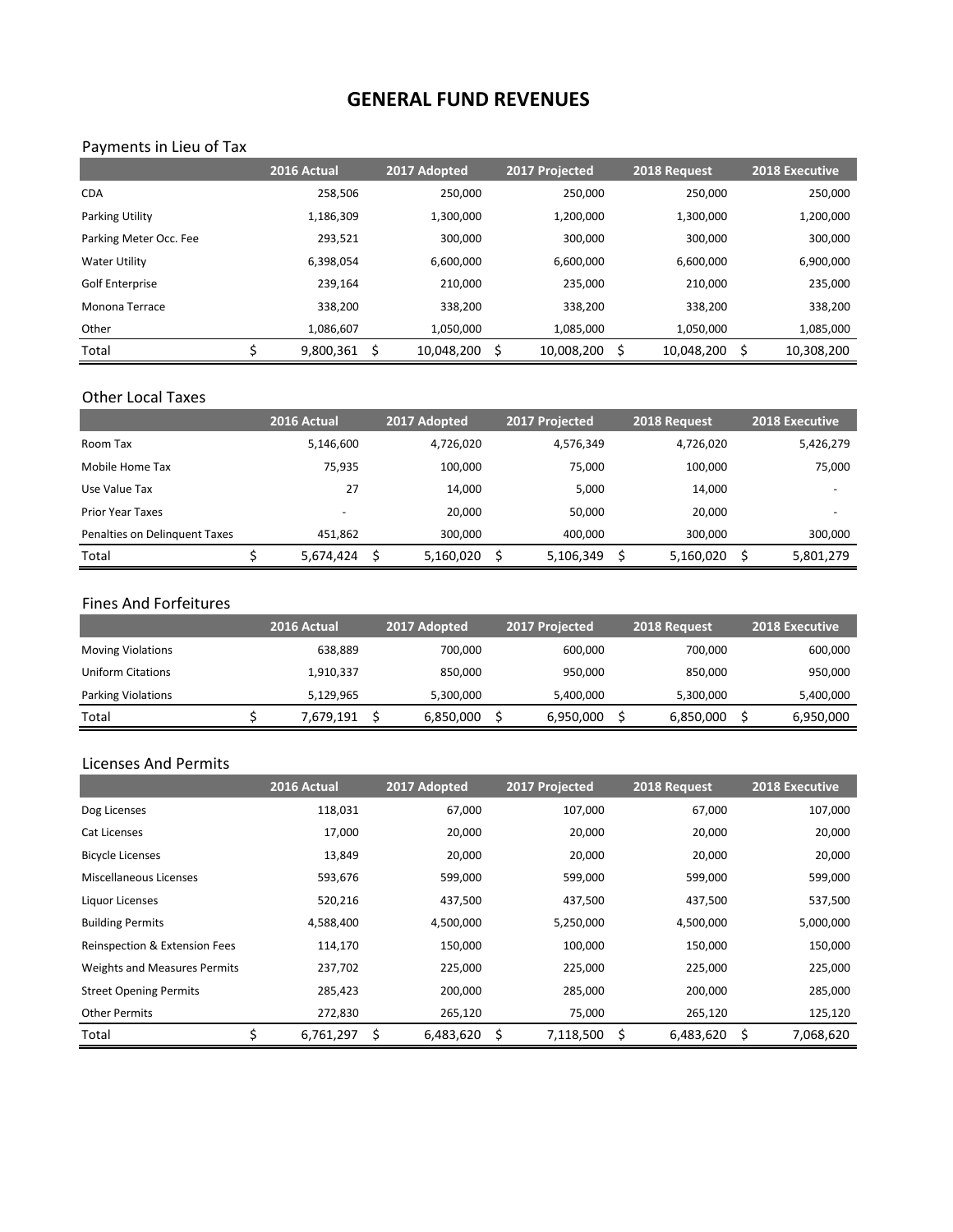# **GENERAL FUND REVENUES**

# Payments in Lieu of Tax

|                        | 2016 Actual | 2017 Adopted     | 2017 Projected   | 2018 Request | 2018 Executive |
|------------------------|-------------|------------------|------------------|--------------|----------------|
| <b>CDA</b>             | 258.506     | 250,000          | 250,000          | 250,000      | 250,000        |
| <b>Parking Utility</b> | 1,186,309   | 1,300,000        | 1,200,000        | 1,300,000    | 1,200,000      |
| Parking Meter Occ. Fee | 293,521     | 300,000          | 300,000          | 300,000      | 300,000        |
| <b>Water Utility</b>   | 6,398,054   | 6,600,000        | 6,600,000        | 6,600,000    | 6,900,000      |
| Golf Enterprise        | 239.164     | 210.000          | 235.000          | 210.000      | 235,000        |
| Monona Terrace         | 338.200     | 338,200          | 338,200          | 338.200      | 338,200        |
| Other                  | 1,086,607   | 1,050,000        | 1,085,000        | 1,050,000    | 1,085,000      |
| Total                  | 9,800,361   | \$<br>10,048,200 | \$<br>10,008,200 | 10,048,200   | 10,308,200     |

### Other Local Taxes

|                               | 2016 Actual | 2017 Adopted | 2017 Projected | 2018 Request | <b>2018 Executive</b> |
|-------------------------------|-------------|--------------|----------------|--------------|-----------------------|
| Room Tax                      | 5,146,600   | 4,726,020    | 4,576,349      | 4,726,020    | 5,426,279             |
| Mobile Home Tax               | 75,935      | 100,000      | 75.000         | 100,000      | 75,000                |
| Use Value Tax                 | 27          | 14,000       | 5,000          | 14,000       |                       |
| <b>Prior Year Taxes</b>       | -           | 20,000       | 50.000         | 20.000       | -                     |
| Penalties on Delinguent Taxes | 451.862     | 300.000      | 400.000        | 300.000      | 300,000               |
| Total                         | 5,674,424   | 5,160,020    | 5,106,349      | 5,160,020    | 5,801,279             |

#### Fines And Forfeitures

|                           | 2016 Actual | 2017 Adopted | 2017 Projected | 2018 Request | 2018 Executive |
|---------------------------|-------------|--------------|----------------|--------------|----------------|
| <b>Moving Violations</b>  | 638.889     | 700.000      | 600,000        | 700.000      | 600,000        |
| Uniform Citations         | 1,910,337   | 850.000      | 950,000        | 850.000      | 950,000        |
| <b>Parking Violations</b> | 5.129.965   | 5,300,000    | 5,400,000      | 5,300,000    | 5,400,000      |
| Total                     | 7,679,191   | 6,850,000    | 6,950,000      | 6,850,000    | 6,950,000      |

#### Licenses And Permits

|                               | 2016 Actual     | 2017 Adopted    | 2017 Projected  | 2018 Request     | <b>2018 Executive</b> |
|-------------------------------|-----------------|-----------------|-----------------|------------------|-----------------------|
| Dog Licenses                  | 118,031         | 67,000          | 107,000         | 67,000           | 107,000               |
| Cat Licenses                  | 17,000          | 20,000          | 20,000          | 20,000           | 20,000                |
| <b>Bicycle Licenses</b>       | 13,849          | 20,000          | 20,000          | 20,000           | 20,000                |
| Miscellaneous Licenses        | 593,676         | 599,000         | 599,000         | 599,000          | 599,000               |
| Liguor Licenses               | 520,216         | 437,500         | 437,500         | 437,500          | 537,500               |
| <b>Building Permits</b>       | 4,588,400       | 4,500,000       | 5,250,000       | 4,500,000        | 5,000,000             |
| Reinspection & Extension Fees | 114,170         | 150,000         | 100,000         | 150,000          | 150,000               |
| Weights and Measures Permits  | 237,702         | 225,000         | 225,000         | 225,000          | 225,000               |
| <b>Street Opening Permits</b> | 285,423         | 200,000         | 285,000         | 200,000          | 285,000               |
| <b>Other Permits</b>          | 272,830         | 265,120         | 75,000          | 265,120          | 125,120               |
| Total                         | \$<br>6,761,297 | \$<br>6,483,620 | 7,118,500<br>\$ | 6,483,620<br>-\$ | \$<br>7,068,620       |